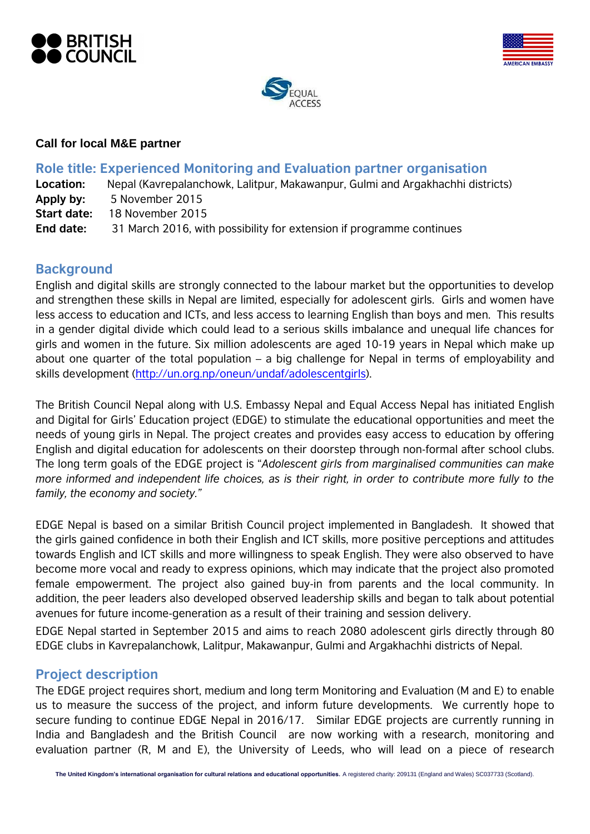





#### **Call for local M&E partner**

### **Role title: Experienced Monitoring and Evaluation partner organisation**

**Location:** Nepal (Kavrepalanchowk, Lalitpur, Makawanpur, Gulmi and Argakhachhi districts) **Apply by:** 5 November 2015 **Start date:** 18 November 2015 **End date:** 31 March 2016, with possibility for extension if programme continues

## **Background**

English and digital skills are strongly connected to the labour market but the opportunities to develop and strengthen these skills in Nepal are limited, especially for adolescent girls. Girls and women have less access to education and ICTs, and less access to learning English than boys and men. This results in a gender digital divide which could lead to a serious skills imbalance and unequal life chances for girls and women in the future. Six million adolescents are aged 10-19 years in Nepal which make up about one quarter of the total population – a big challenge for Nepal in terms of employability and skills development [\(http://un.org.np/oneun/undaf/adolescentgirls\)](http://un.org.np/oneun/undaf/adolescentgirls).

The British Council Nepal along with U.S. Embassy Nepal and Equal Access Nepal has initiated English and Digital for Girls' Education project (EDGE) to stimulate the educational opportunities and meet the needs of young girls in Nepal. The project creates and provides easy access to education by offering English and digital education for adolescents on their doorstep through non-formal after school clubs. The long term goals of the EDGE project is "*Adolescent girls from marginalised communities can make more informed and independent life choices, as is their right, in order to contribute more fully to the family, the economy and society."*

EDGE Nepal is based on a similar British Council project implemented in Bangladesh. It showed that the girls gained confidence in both their English and ICT skills, more positive perceptions and attitudes towards English and ICT skills and more willingness to speak English. They were also observed to have become more vocal and ready to express opinions, which may indicate that the project also promoted female empowerment. The project also gained buy-in from parents and the local community. In addition, the peer leaders also developed observed leadership skills and began to talk about potential avenues for future income-generation as a result of their training and session delivery.

EDGE Nepal started in September 2015 and aims to reach 2080 adolescent girls directly through 80 EDGE clubs in Kavrepalanchowk, Lalitpur, Makawanpur, Gulmi and Argakhachhi districts of Nepal.

## **Project description**

The EDGE project requires short, medium and long term Monitoring and Evaluation (M and E) to enable us to measure the success of the project, and inform future developments. We currently hope to secure funding to continue EDGE Nepal in 2016/17. Similar EDGE projects are currently running in India and Bangladesh and the British Council are now working with a research, monitoring and evaluation partner (R, M and E), the University of Leeds, who will lead on a piece of research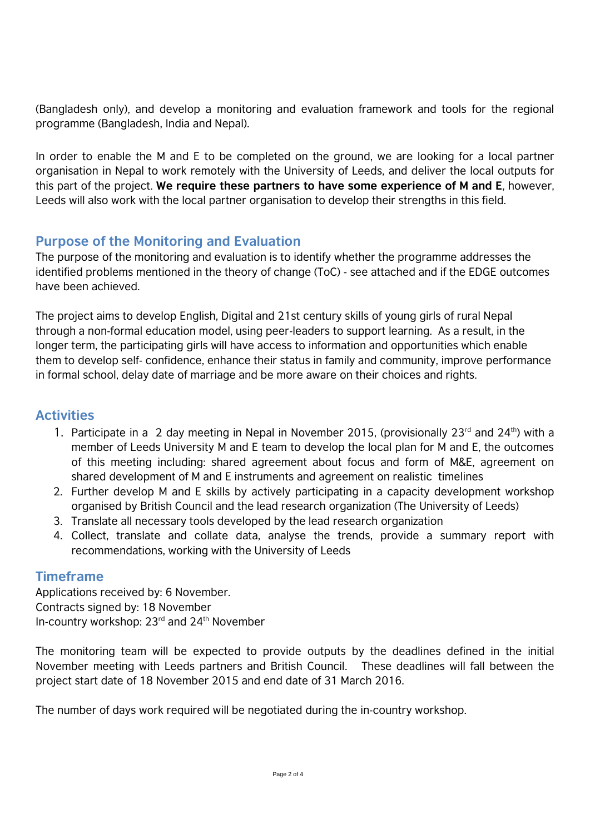(Bangladesh only), and develop a monitoring and evaluation framework and tools for the regional programme (Bangladesh, India and Nepal).

In order to enable the M and E to be completed on the ground, we are looking for a local partner organisation in Nepal to work remotely with the University of Leeds, and deliver the local outputs for this part of the project. **We require these partners to have some experience of M and E**, however, Leeds will also work with the local partner organisation to develop their strengths in this field.

## **Purpose of the Monitoring and Evaluation**

The purpose of the monitoring and evaluation is to identify whether the programme addresses the identified problems mentioned in the theory of change (ToC) - see attached and if the EDGE outcomes have been achieved.

The project aims to develop English, Digital and 21st century skills of young girls of rural Nepal through a non-formal education model, using peer-leaders to support learning. As a result, in the longer term, the participating girls will have access to information and opportunities which enable them to develop self- confidence, enhance their status in family and community, improve performance in formal school, delay date of marriage and be more aware on their choices and rights.

## **Activities**

- 1. Participate in a 2 day meeting in Nepal in November 2015, (provisionally 23 $rd$  and 24 $th$ ) with a member of Leeds University M and E team to develop the local plan for M and E, the outcomes of this meeting including: shared agreement about focus and form of M&E, agreement on shared development of M and E instruments and agreement on realistic timelines
- 2. Further develop M and E skills by actively participating in a capacity development workshop organised by British Council and the lead research organization (The University of Leeds)
- 3. Translate all necessary tools developed by the lead research organization
- 4. Collect, translate and collate data, analyse the trends, provide a summary report with recommendations, working with the University of Leeds

#### **Timeframe**

Applications received by: 6 November. Contracts signed by: 18 November In-country workshop: 23<sup>rd</sup> and 24<sup>th</sup> November

The monitoring team will be expected to provide outputs by the deadlines defined in the initial November meeting with Leeds partners and British Council. These deadlines will fall between the project start date of 18 November 2015 and end date of 31 March 2016.

The number of days work required will be negotiated during the in-country workshop.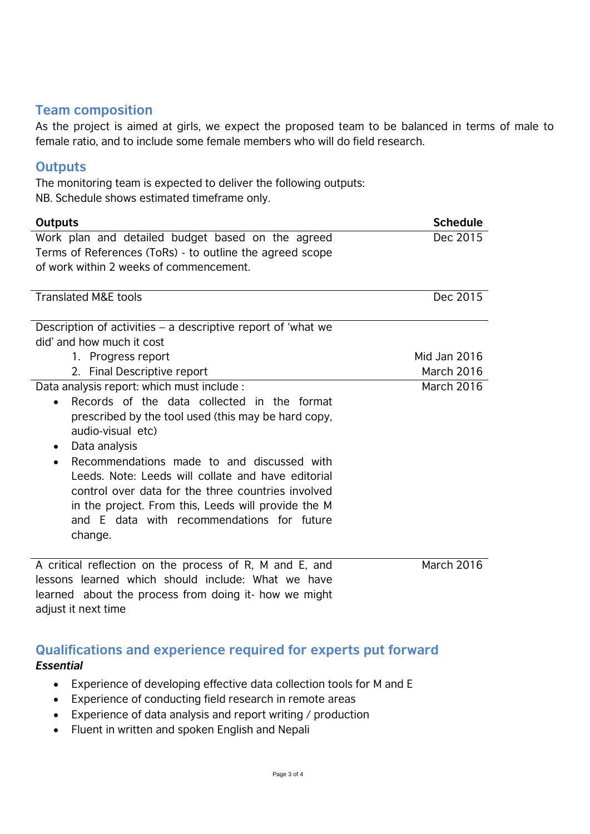## **Team composition**

As the project is aimed at girls, we expect the proposed team to be balanced in terms of male to female ratio, and to include some female members who will do field research.

### **Outputs**

The monitoring team is expected to deliver the following outputs: NB. Schedule shows estimated timeframe only.

| <b>Outputs</b>                                               | <b>Schedule</b>   |
|--------------------------------------------------------------|-------------------|
| Work plan and detailed budget based on the agreed            | Dec 2015          |
| Terms of References (ToRs) - to outline the agreed scope     |                   |
| of work within 2 weeks of commencement.                      |                   |
| <b>Translated M&amp;E tools</b>                              | Dec 2015          |
|                                                              |                   |
| Description of activities – a descriptive report of 'what we |                   |
| did' and how much it cost                                    |                   |
| 1. Progress report                                           | Mid Jan 2016      |
| 2. Final Descriptive report                                  | <b>March 2016</b> |
| Data analysis report: which must include :                   | <b>March 2016</b> |
| Records of the data collected in the format                  |                   |
| prescribed by the tool used (this may be hard copy,          |                   |
| audio-visual etc)                                            |                   |
| Data analysis                                                |                   |
| Recommendations made to and discussed with                   |                   |
| Leeds. Note: Leeds will collate and have editorial           |                   |
| control over data for the three countries involved           |                   |
| in the project. From this, Leeds will provide the M          |                   |
| and E data with recommendations for future                   |                   |
| change.                                                      |                   |
| A critical reflection on the process of R, M and E, and      | <b>March 2016</b> |
| lessons learned which should include: What we have           |                   |
| learned about the process from doing it- how we might        |                   |
| adjust it next time                                          |                   |

# **Qualifications and experience required for experts put forward** *Essential*

- Experience of developing effective data collection tools for M and E
- Experience of conducting field research in remote areas
- Experience of data analysis and report writing / production
- Fluent in written and spoken English and Nepali